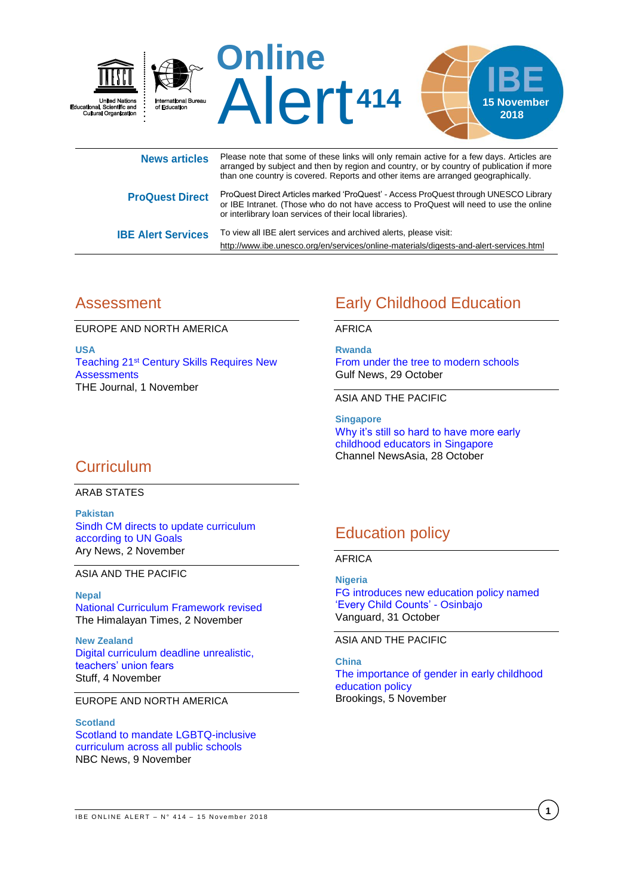

|                           | than one obtain y is covered. Hepons and circl items are analiged geographically.                                                                                                                                                         |
|---------------------------|-------------------------------------------------------------------------------------------------------------------------------------------------------------------------------------------------------------------------------------------|
| <b>ProQuest Direct</b>    | ProQuest Direct Articles marked 'ProQuest' - Access ProQuest through UNESCO Library<br>or IBE Intranet. (Those who do not have access to ProQuest will need to use the online<br>or interlibrary loan services of their local libraries). |
| <b>IBE Alert Services</b> | To view all IBE alert services and archived alerts, please visit:<br>http://www.ibe.unesco.org/en/services/online-materials/digests-and-alert-services.html                                                                               |

## Assessment

EUROPE AND NORTH AMERICA

**USA** Teaching 21st [Century Skills Requires New](https://thejournal.com/articles/2018/11/01/teaching-21st-century-skills-requires-new-assessments.aspx)  **[Assessments](https://thejournal.com/articles/2018/11/01/teaching-21st-century-skills-requires-new-assessments.aspx)** THE Journal, 1 November

# Early Childhood Education

AFRICA

**Rwanda** [From under the tree to modern schools](https://gulfnews.com/news/uae/education/from-under-the-tree-to-modern-schools-1.2295471) Gulf News, 29 October

ASIA AND THE PACIFIC

**Singapore** [Why it's still so hard to have more early](https://www.channelnewsasia.com/news/cnainsider/why-still-hard-get-early-childhood-educators-singapore-preschool-10871542)  [childhood educators in Singapore](https://www.channelnewsasia.com/news/cnainsider/why-still-hard-get-early-childhood-educators-singapore-preschool-10871542) Channel NewsAsia, 28 October

## **Curriculum**

ARAB STATES

**Pakistan** [Sindh CM directs to update curriculum](https://arynews.tv/en/sindh-cm-directs-to-update-curriculum-according-to-un-goals/)  [according to UN Goals](https://arynews.tv/en/sindh-cm-directs-to-update-curriculum-according-to-un-goals/) Ary News, 2 November

ASIA AND THE PACIFIC

**Nepal** [National Curriculum Framework revised](https://thehimalayantimes.com/kathmandu/national-curriculum-framework-revised/) The Himalayan Times, 2 November

**New Zealand** [Digital curriculum deadline unrealistic,](https://www.stuff.co.nz/national/education/108203269/digital-curriculum-deadline-unrealistic-teachers-union-fears)  [teachers' union fears](https://www.stuff.co.nz/national/education/108203269/digital-curriculum-deadline-unrealistic-teachers-union-fears) Stuff, 4 November

EUROPE AND NORTH AMERICA

**Scotland** [Scotland to mandate LGBTQ-inclusive](https://www.nbcnews.com/feature/nbc-out/scotland-mandate-lgbtq-inclusive-curriculum-across-all-public-schools-n934646)  [curriculum across all public schools](https://www.nbcnews.com/feature/nbc-out/scotland-mandate-lgbtq-inclusive-curriculum-across-all-public-schools-n934646) NBC News, 9 November

# Education policy

AFRICA

**Nigeria** [FG introduces new education policy named](https://www.vanguardngr.com/2018/10/fg-introduces-new-education-policy-named-every-child-counts-osinbajo/)  ['Every Child Counts' -](https://www.vanguardngr.com/2018/10/fg-introduces-new-education-policy-named-every-child-counts-osinbajo/) Osinbajo Vanguard, 31 October

ASIA AND THE PACIFIC

**China** [The importance of gender in early childhood](https://www.brookings.edu/blog/education-plus-development/2018/11/05/the-importance-of-gender-in-early-childhood-education-policy/)  [education policy](https://www.brookings.edu/blog/education-plus-development/2018/11/05/the-importance-of-gender-in-early-childhood-education-policy/) Brookings, 5 November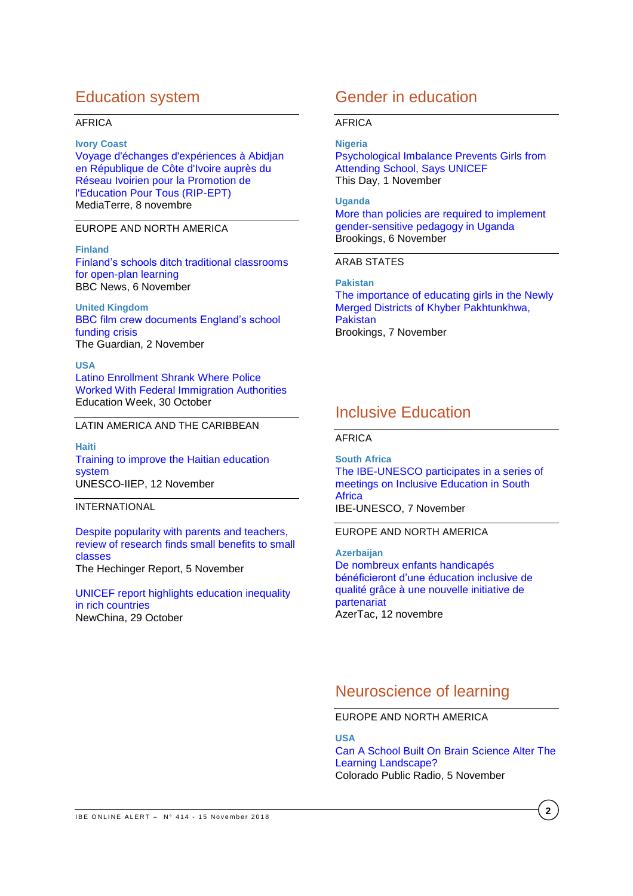## Education system

#### AFRICA

#### **Ivory Coast**

[Voyage d'échanges d'expériences à Abidjan](https://www.mediaterre.org/afrique-ouest/actu,20181108143019.html)  [en République de Côte d'Ivoire auprès du](https://www.mediaterre.org/afrique-ouest/actu,20181108143019.html)  [Réseau Ivoirien pour la Promotion de](https://www.mediaterre.org/afrique-ouest/actu,20181108143019.html)  [l'Education Pour Tous \(RIP-EPT\)](https://www.mediaterre.org/afrique-ouest/actu,20181108143019.html) MediaTerre, 8 novembre

### EUROPE AND NORTH AMERICA

#### **Finland**

[Finland's schools ditch traditional](https://www.bbc.com/news/av/education-45727843/finland-s-schools-ditch-traditional-classrooms-for-open-plan-learning) classrooms [for open-plan learning](https://www.bbc.com/news/av/education-45727843/finland-s-schools-ditch-traditional-classrooms-for-open-plan-learning) BBC News, 6 November

**United Kingdom** [BBC film crew documents England's school](https://www.theguardian.com/tv-and-radio/2018/nov/02/bbc-film-crew-to-document-england-school-funding-crisis)  [funding crisis](https://www.theguardian.com/tv-and-radio/2018/nov/02/bbc-film-crew-to-document-england-school-funding-crisis) The Guardian, 2 November

#### **USA**

[Latino Enrollment Shrank Where Police](https://www.edweek.org/ew/articles/2018/10/31/latino-enrollment-shrank-where-police-worked-with.html)  [Worked With Federal Immigration Authorities](https://www.edweek.org/ew/articles/2018/10/31/latino-enrollment-shrank-where-police-worked-with.html) Education Week, 30 October

### LATIN AMERICA AND THE CARIBBEAN

**Haiti** [Training to improve the Haitian education](http://www.iiep.unesco.org/en/training-improve-haitian-education-system-4701)  [system](http://www.iiep.unesco.org/en/training-improve-haitian-education-system-4701) UNESCO-IIEP, 12 November

### INTERNATIONAL

[Despite popularity with parents and teachers,](https://hechingerreport.org/despite-popularity-with-parents-and-teachers-review-of-research-finds-small-benefits-to-small-classes/)  [review of research finds small benefits to small](https://hechingerreport.org/despite-popularity-with-parents-and-teachers-review-of-research-finds-small-benefits-to-small-classes/)  [classes](https://hechingerreport.org/despite-popularity-with-parents-and-teachers-review-of-research-finds-small-benefits-to-small-classes/) The Hechinger Report, 5 November

[UNICEF report highlights education inequality](http://www.xinhuanet.com/english/2018-10/30/c_137569912.htm)  [in rich countries](http://www.xinhuanet.com/english/2018-10/30/c_137569912.htm) NewChina, 29 October

## Gender in education

#### AFRICA

#### **Nigeria**

[Psychological Imbalance Prevents Girls from](https://www.thisdaylive.com/index.php/2018/11/01/psychological-imbalance-prevents-girls-from-attending-school-says-unicef/)  [Attending School, Says UNICEF](https://www.thisdaylive.com/index.php/2018/11/01/psychological-imbalance-prevents-girls-from-attending-school-says-unicef/) This Day, 1 November

#### **Uganda**

[More than policies are required to implement](https://www.brookings.edu/blog/education-plus-development/2018/11/06/more-than-policies-are-required-to-implement-gender-sensitive-pedagogy-in-uganda/)  [gender-sensitive pedagogy in Uganda](https://www.brookings.edu/blog/education-plus-development/2018/11/06/more-than-policies-are-required-to-implement-gender-sensitive-pedagogy-in-uganda/) Brookings, 6 November

### ARAB STATES

**Pakistan** [The importance of educating girls in the Newly](https://www.brookings.edu/research/the-importance-of-educating-girls-in-the-newly-merged-districts-of-khyber-pakhtunkhwa-pakistan/)  [Merged Districts of Khyber Pakhtunkhwa,](https://www.brookings.edu/research/the-importance-of-educating-girls-in-the-newly-merged-districts-of-khyber-pakhtunkhwa-pakistan/)  **[Pakistan](https://www.brookings.edu/research/the-importance-of-educating-girls-in-the-newly-merged-districts-of-khyber-pakhtunkhwa-pakistan/)** Brookings, 7 November

## Inclusive Education

### AFRICA

**South Africa** [The IBE-UNESCO participates in a series of](http://www.ibe.unesco.org/en/news/ibe-unesco-participates-series-meetings-inclusive-education-south-africa)  [meetings on Inclusive Education in South](http://www.ibe.unesco.org/en/news/ibe-unesco-participates-series-meetings-inclusive-education-south-africa)  **[Africa](http://www.ibe.unesco.org/en/news/ibe-unesco-participates-series-meetings-inclusive-education-south-africa)** IBE-UNESCO, 7 November

### EUROPE AND NORTH AMERICA

**Azerbaijan** [De nombreux enfants handicapés](https://azertag.az/fr/xeber/france-1213783)  [bénéficieront d'une éducation inclusive de](https://azertag.az/fr/xeber/france-1213783)  [qualité grâce à une nouvelle initiative de](https://azertag.az/fr/xeber/france-1213783)  [partenariat](https://azertag.az/fr/xeber/france-1213783) AzerTac, 12 novembre

## Neuroscience of learning

EUROPE AND NORTH AMERICA

#### **USA**

[Can A School Built On Brain Science Alter The](https://www.cpr.org/news/story/can-a-school-built-on-brain-science-alter-the-learning-landscape)  [Learning Landscape?](https://www.cpr.org/news/story/can-a-school-built-on-brain-science-alter-the-learning-landscape) Colorado Public Radio, 5 November

**2**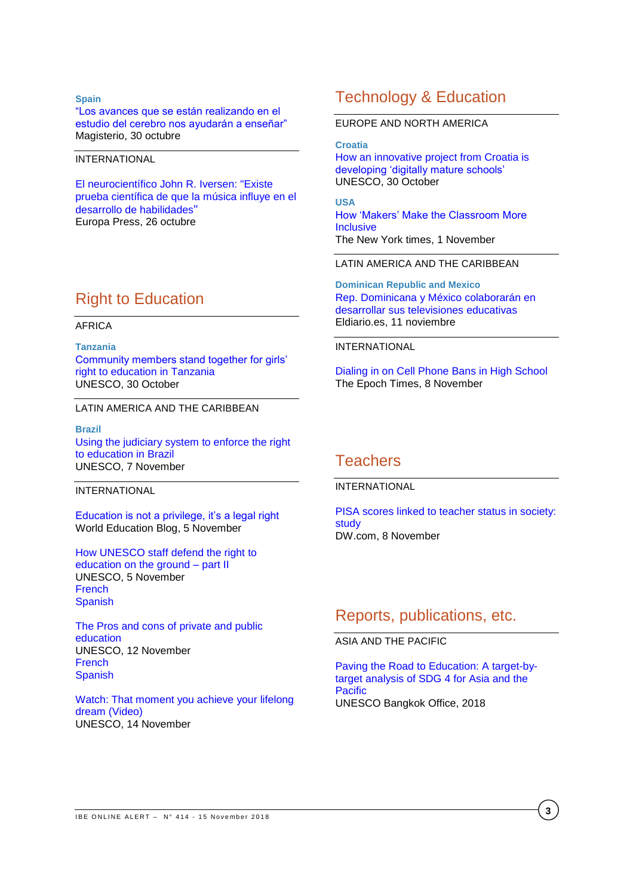#### **Spain**

["Los avances que se están realizando en el](https://www.magisnet.com/noticia/28510/en-abierto/los-avances-que-se-estan-realizando-en-el-estudio-del-cerebro-nos-ayudaran-a-ensenar.html)  [estudio del cerebro nos ayudarán a enseñar"](https://www.magisnet.com/noticia/28510/en-abierto/los-avances-que-se-estan-realizando-en-el-estudio-del-cerebro-nos-ayudaran-a-ensenar.html) Magisterio, 30 octubre

#### INTERNATIONAL

[El neurocientífico John R. Iversen: "Existe](https://www.europapress.es/sociedad/educacion-00468/noticia-neurocientifico-john-iversen-existe-prueba-cientifica-musica-influye-desarrollo-habilidades-20181026123123.html)  [prueba científica de que la música influye en el](https://www.europapress.es/sociedad/educacion-00468/noticia-neurocientifico-john-iversen-existe-prueba-cientifica-musica-influye-desarrollo-habilidades-20181026123123.html)  [desarrollo de habilidades](https://www.europapress.es/sociedad/educacion-00468/noticia-neurocientifico-john-iversen-existe-prueba-cientifica-musica-influye-desarrollo-habilidades-20181026123123.html)" Europa Press, 26 octubre

## Right to Education

#### AFRICA

**Tanzania** [Community members stand together for girls'](https://en.unesco.org/news/community-members-stand-together-girls-right-education-tanzania)  [right to education in Tanzania](https://en.unesco.org/news/community-members-stand-together-girls-right-education-tanzania) UNESCO, 30 October

#### LATIN AMERICA AND THE CARIBBEAN

**Brazil** [Using the judiciary system to enforce the right](https://en.unesco.org/news/using-judiciary-system-enforce-right-education-brazil)  [to education in Brazil](https://en.unesco.org/news/using-judiciary-system-enforce-right-education-brazil) UNESCO, 7 November

#### INTERNATIONAL

[Education is not a privilege, it's a legal right](https://gemreportunesco.wordpress.com/2018/11/05/education-is-not-a-privilege-its-a-legal-right/) World Education Blog, 5 November

[How UNESCO staff](https://en.unesco.org/news/how-unesco-staff-defend-right-education-ground-part-ii) defend the right to [education on the ground –](https://en.unesco.org/news/how-unesco-staff-defend-right-education-ground-part-ii) part II UNESCO, 5 November **[French](https://fr.unesco.org/news/comment-personnel-lunesco-defend-droit-leducation-terrain-partie-2)** [Spanish](https://es.unesco.org/news/que-hace-personal-unesco-defender-derecho-educacion-terreno-parte-2)

The [Pros and cons of private and public](https://en.unesco.org/news/pros-and-cons-private-and-public-education)  [education](https://en.unesco.org/news/pros-and-cons-private-and-public-education) UNESCO, 12 November [French](https://fr.unesco.org/news/avantages-inconvenients-leducation-privee-publique) [Spanish](https://es.unesco.org/news/pros-y-contras-educacion-privada-y-publica)

[Watch: That moment you achieve your lifelong](https://www.youtube.com/watch?v=_K9W8UwNqoA&feature=youtu.be)  dream [\(Video\)](https://www.youtube.com/watch?v=_K9W8UwNqoA&feature=youtu.be) UNESCO, 14 November

## Technology & Education

#### EUROPE AND NORTH AMERICA

**Croatia**

[How an innovative project from Croatia is](https://en.unesco.org/news/how-innovative-project-croatia-developing-digitally-mature-schools)  [developing 'digitally mature schools'](https://en.unesco.org/news/how-innovative-project-croatia-developing-digitally-mature-schools) UNESCO, 30 October

**USA** [How 'Makers' Make the Classroom More](https://www.nytimes.com/2018/11/01/education/learning/how-makers-make-the-classroom-more-inclusive.html)  **[Inclusive](https://www.nytimes.com/2018/11/01/education/learning/how-makers-make-the-classroom-more-inclusive.html)** The New York times, 1 November

LATIN AMERICA AND THE CARIBBEAN

**Dominican Republic and Mexico** [Rep. Dominicana y México colaborarán en](https://www.eldiario.es/sociedad/Rep-Dominicana-Mexico-colaboraran-televisiones_0_831517663.html)  [desarrollar sus televisiones educativas](https://www.eldiario.es/sociedad/Rep-Dominicana-Mexico-colaboraran-televisiones_0_831517663.html) Eldiario.es, 11 noviembre

#### INTERNATIONAL

[Dialing in on Cell Phone Bans in High School](https://www.theepochtimes.com/dialing-in-on-cell-phone-bans-in-high-school_2702832.html) The Epoch Times, 8 November

## **Teachers**

#### INTERNATIONAL

[PISA scores linked to teacher status in society:](https://www.dw.com/en/pisa-scores-linked-to-teacher-status-in-society-study/a-46202091)  [study](https://www.dw.com/en/pisa-scores-linked-to-teacher-status-in-society-study/a-46202091) DW.com, 8 November

## Reports, publications, etc.

### ASIA AND THE PACIFIC

[Paving the Road to Education: A target-by](http://unesdoc.unesco.org/images/0026/002659/265912e.pdf)[target analysis of SDG 4 for Asia and the](http://unesdoc.unesco.org/images/0026/002659/265912e.pdf)  **[Pacific](http://unesdoc.unesco.org/images/0026/002659/265912e.pdf)** UNESCO Bangkok Office, 2018